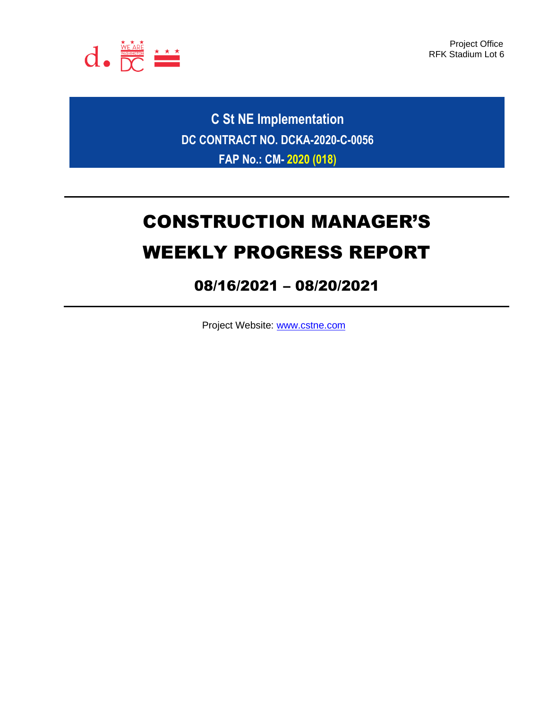

Project Office RFK Stadium Lot 6

**C St NE Implementation DC CONTRACT NO. DCKA-2020-C-0056 FAP No.: CM- 2020 (018)**

# CONSTRUCTION MANAGER'S WEEKLY PROGRESS REPORT

# 08/16/2021 – 08/20/2021

Project Website: [www.cstne.com](http://www.cstne.com/)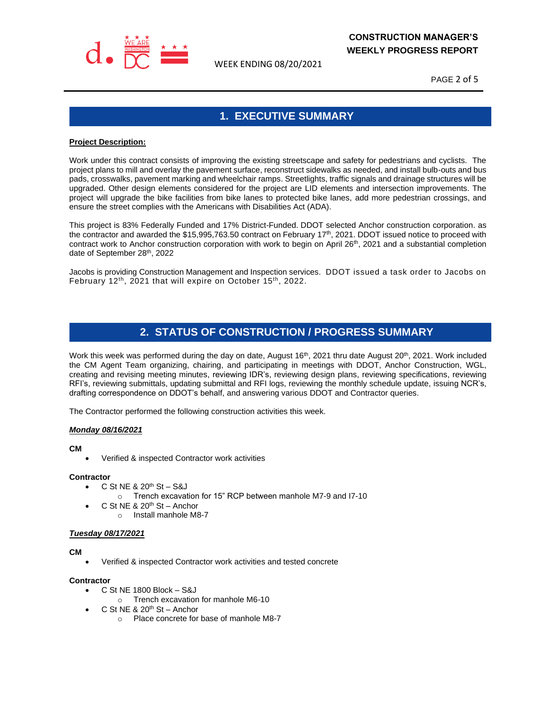

WEEK ENDING 08/20/2021

PAGE 2 of 5

# **1. EXECUTIVE SUMMARY**

#### **Project Description:**

Work under this contract consists of improving the existing streetscape and safety for pedestrians and cyclists. The project plans to mill and overlay the pavement surface, reconstruct sidewalks as needed, and install bulb-outs and bus pads, crosswalks, pavement marking and wheelchair ramps. Streetlights, traffic signals and drainage structures will be upgraded. Other design elements considered for the project are LID elements and intersection improvements. The project will upgrade the bike facilities from bike lanes to protected bike lanes, add more pedestrian crossings, and ensure the street complies with the Americans with Disabilities Act (ADA).

This project is 83% Federally Funded and 17% District-Funded. DDOT selected Anchor construction corporation. as the contractor and awarded the \$15,995,763.50 contract on February 17<sup>th</sup>, 2021. DDOT issued notice to proceed with contract work to Anchor construction corporation with work to begin on April  $26<sup>th</sup>$ , 2021 and a substantial completion date of September 28th, 2022

Jacobs is providing Construction Management and Inspection services. DDOT issued a task order to Jacobs on February 12<sup>th</sup>, 2021 that will expire on October 15<sup>th</sup>, 2022.

# **2. STATUS OF CONSTRUCTION / PROGRESS SUMMARY**

Work this week was performed during the day on date, August 16<sup>th</sup>, 2021 thru date August 20<sup>th</sup>, 2021. Work included the CM Agent Team organizing, chairing, and participating in meetings with DDOT, Anchor Construction, WGL, creating and revising meeting minutes, reviewing IDR's, reviewing design plans, reviewing specifications, reviewing RFI's, reviewing submittals, updating submittal and RFI logs, reviewing the monthly schedule update, issuing NCR's, drafting correspondence on DDOT's behalf, and answering various DDOT and Contractor queries.

The Contractor performed the following construction activities this week.

#### *Monday 08/16/2021*

#### **CM**

• Verified & inspected Contractor work activities

#### **Contractor**

- $\bullet$  C St NE & 20<sup>th</sup> St S&J
	- o Trench excavation for 15" RCP between manhole M7-9 and I7-10
- $\bullet$  C St NE & 20<sup>th</sup> St Anchor
	- o Install manhole M8-7

#### *Tuesday 08/17/2021*

#### **CM**

• Verified & inspected Contractor work activities and tested concrete

#### **Contractor**

- C St NE 1800 Block S&J
	- o Trench excavation for manhole M6-10
- $\bullet$  C St NE & 20<sup>th</sup> St Anchor
	- o Place concrete for base of manhole M8-7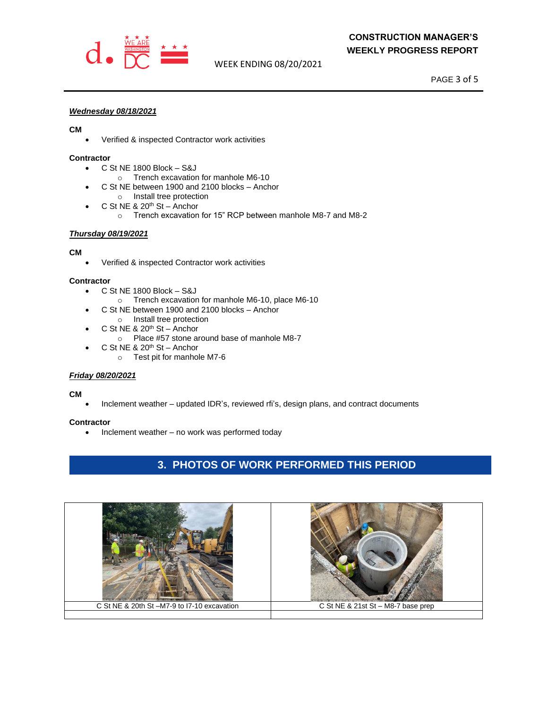

## **CONSTRUCTION MANAGER'S WEEKLY PROGRESS REPORT**

WEEK ENDING 08/20/2021

PAGE 3 of 5

#### *Wednesday 08/18/2021*

#### **CM**

• Verified & inspected Contractor work activities

#### **Contractor**

- C St NE 1800 Block S&J
	- o Trench excavation for manhole M6-10
- C St NE between 1900 and 2100 blocks Anchor
	- o Install tree protection
- $\bullet$  C St NE & 20<sup>th</sup> St Anchor
	- o Trench excavation for 15" RCP between manhole M8-7 and M8-2

#### *Thursday 08/19/2021*

#### **CM**

• Verified & inspected Contractor work activities

#### **Contractor**

- C St NE 1800 Block S&J
	- o Trench excavation for manhole M6-10, place M6-10
- C St NE between 1900 and 2100 blocks Anchor
- o Install tree protection  $\bullet$  C St NE & 20<sup>th</sup> St – Anchor
- o Place #57 stone around base of manhole M8-7
- $\bullet$  C St NE & 20<sup>th</sup> St Anchor
	- o Test pit for manhole M7-6

#### *Friday 08/20/2021*

#### **CM**

• Inclement weather – updated IDR's, reviewed rfi's, design plans, and contract documents

#### **Contractor**

• Inclement weather – no work was performed today

# **3. PHOTOS OF WORK PERFORMED THIS PERIOD**